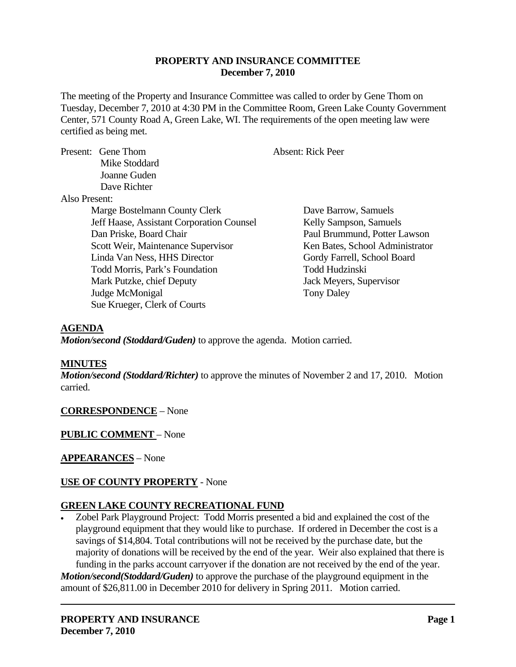### **PROPERTY AND INSURANCE COMMITTEE December 7, 2010**

The meeting of the Property and Insurance Committee was called to order by Gene Thom on Tuesday, December 7, 2010 at 4:30 PM in the Committee Room, Green Lake County Government Center, 571 County Road A, Green Lake, WI. The requirements of the open meeting law were certified as being met.

|               | Present: Gene Thom                        | <b>Absent: Rick Peer</b>        |
|---------------|-------------------------------------------|---------------------------------|
|               | Mike Stoddard                             |                                 |
|               | Joanne Guden                              |                                 |
|               | Dave Richter                              |                                 |
| Also Present: |                                           |                                 |
|               | Marge Bostelmann County Clerk             | Dave Barrow, Samuels            |
|               | Jeff Haase, Assistant Corporation Counsel | Kelly Sampson, Samuels          |
|               | Dan Priske, Board Chair                   | Paul Brummund, Potter Lawson    |
|               | Scott Weir, Maintenance Supervisor        | Ken Bates, School Administrator |
|               | Linda Van Ness, HHS Director              | Gordy Farrell, School Board     |
|               | Todd Morris, Park's Foundation            | Todd Hudzinski                  |
|               | Mark Putzke, chief Deputy                 | Jack Meyers, Supervisor         |
|               | Judge McMonigal                           | <b>Tony Daley</b>               |
|               | Sue Krueger, Clerk of Courts              |                                 |

### **AGENDA**

*Motion/second (Stoddard/Guden)* to approve the agenda. Motion carried.

### **MINUTES**

*Motion/second (Stoddard/Richter)* to approve the minutes of November 2 and 17, 2010. Motion carried.

**CORRESPONDENCE** – None

**PUBLIC COMMENT** – None

# **APPEARANCES** – None

# **USE OF COUNTY PROPERTY** - None

### **GREEN LAKE COUNTY RECREATIONAL FUND**

 Zobel Park Playground Project: Todd Morris presented a bid and explained the cost of the playground equipment that they would like to purchase. If ordered in December the cost is a savings of \$14,804. Total contributions will not be received by the purchase date, but the majority of donations will be received by the end of the year. Weir also explained that there is funding in the parks account carryover if the donation are not received by the end of the year.

*Motion/second(Stoddard/Guden)* to approve the purchase of the playground equipment in the amount of \$26,811.00 in December 2010 for delivery in Spring 2011. Motion carried.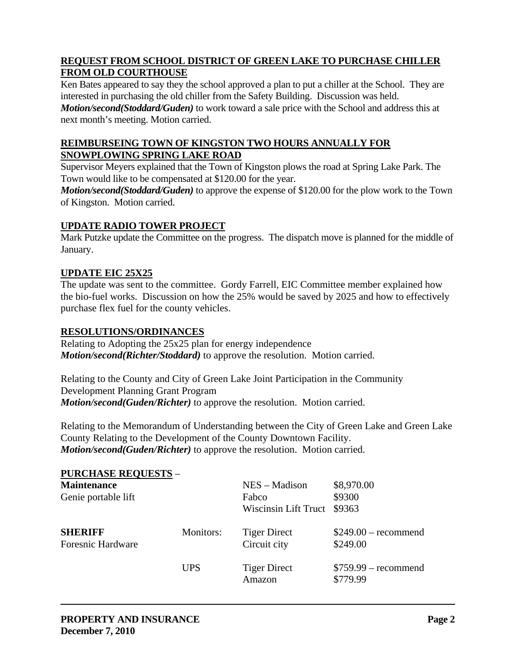# **REQUEST FROM SCHOOL DISTRICT OF GREEN LAKE TO PURCHASE CHILLER FROM OLD COURTHOUSE**

Ken Bates appeared to say they the school approved a plan to put a chiller at the School. They are interested in purchasing the old chiller from the Safety Building. Discussion was held.

*Motion/second(Stoddard/Guden)* to work toward a sale price with the School and address this at next month's meeting. Motion carried.

# **REIMBURSEING TOWN OF KINGSTON TWO HOURS ANNUALLY FOR SNOWPLOWING SPRING LAKE ROAD**

Supervisor Meyers explained that the Town of Kingston plows the road at Spring Lake Park. The Town would like to be compensated at \$120.00 for the year.

*Motion/second(Stoddard/Guden)* to approve the expense of \$120.00 for the plow work to the Town of Kingston. Motion carried.

# **UPDATE RADIO TOWER PROJECT**

Mark Putzke update the Committee on the progress. The dispatch move is planned for the middle of January.

# **UPDATE EIC 25X25**

The update was sent to the committee. Gordy Farrell, EIC Committee member explained how the bio-fuel works. Discussion on how the 25% would be saved by 2025 and how to effectively purchase flex fuel for the county vehicles.

# **RESOLUTIONS/ORDINANCES**

Relating to Adopting the 25x25 plan for energy independence *Motion/second(Richter/Stoddard)* to approve the resolution. Motion carried.

Relating to the County and City of Green Lake Joint Participation in the Community Development Planning Grant Program *Motion/second(Guden/Richter)* to approve the resolution. Motion carried.

Relating to the Memorandum of Understanding between the City of Green Lake and Green Lake County Relating to the Development of the County Downtown Facility. *Motion/second(Guden/Richter)* to approve the resolution. Motion carried.

| <b>PURCHASE REQUESTS -</b> |            |                             |                       |
|----------------------------|------------|-----------------------------|-----------------------|
| <b>Maintenance</b>         |            | $NES - Madison$             | \$8,970.00            |
| Genie portable lift        |            | Fabco                       | \$9300                |
|                            |            | <b>Wiscinsin Lift Truct</b> | \$9363                |
| <b>SHERIFF</b>             | Monitors:  | <b>Tiger Direct</b>         | $$249.00$ – recommend |
| <b>Foresnic Hardware</b>   |            | Circuit city                | \$249.00              |
|                            | <b>UPS</b> | <b>Tiger Direct</b>         | $$759.99 - recommend$ |
|                            |            | Amazon                      | \$779.99              |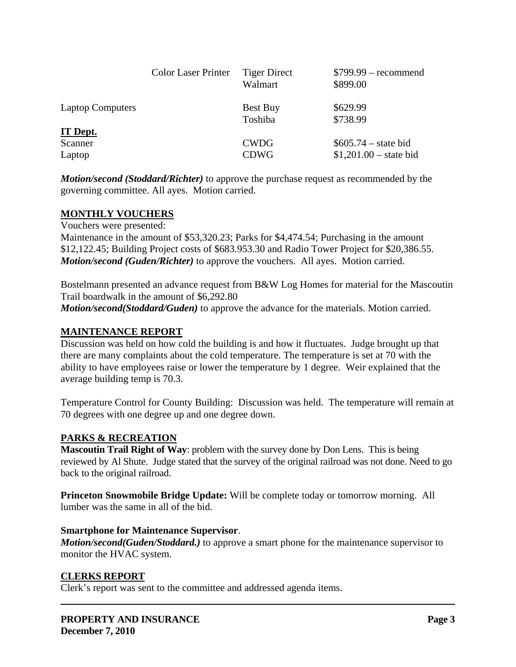|                         | <b>Color Laser Printer</b> | <b>Tiger Direct</b><br>Walmart | $$799.99$ – recommend<br>\$899.00 |
|-------------------------|----------------------------|--------------------------------|-----------------------------------|
| <b>Laptop Computers</b> |                            | Best Buy                       | \$629.99                          |
| <b>IT Dept.</b>         |                            | Toshiba                        | \$738.99                          |
| Scanner                 |                            | <b>CWDG</b>                    | $$605.74 - state bid$             |
| Laptop                  |                            | <b>CDWG</b>                    | $$1,201.00 - state bid$           |

*Motion/second (Stoddard/Richter)* to approve the purchase request as recommended by the governing committee. All ayes. Motion carried.

### **MONTHLY VOUCHERS**

Vouchers were presented:

Maintenance in the amount of \$53,320.23; Parks for \$4,474.54; Purchasing in the amount \$12,122.45; Building Project costs of \$683.953.30 and Radio Tower Project for \$20,386.55. *Motion/second (Guden/Richter)* to approve the vouchers. All ayes. Motion carried.

Bostelmann presented an advance request from B&W Log Homes for material for the Mascoutin Trail boardwalk in the amount of \$6,292.80 *Motion/second(Stoddard/Guden)* to approve the advance for the materials. Motion carried.

### **MAINTENANCE REPORT**

Discussion was held on how cold the building is and how it fluctuates. Judge brought up that there are many complaints about the cold temperature. The temperature is set at 70 with the ability to have employees raise or lower the temperature by 1 degree. Weir explained that the average building temp is 70.3.

Temperature Control for County Building: Discussion was held. The temperature will remain at 70 degrees with one degree up and one degree down.

# **PARKS & RECREATION**

**Mascoutin Trail Right of Way**: problem with the survey done by Don Lens. This is being reviewed by Al Shute. Judge stated that the survey of the original railroad was not done. Need to go back to the original railroad.

**Princeton Snowmobile Bridge Update:** Will be complete today or tomorrow morning. All lumber was the same in all of the bid.

### **Smartphone for Maintenance Supervisor**.

*Motion/second(Guden/Stoddard.)* to approve a smart phone for the maintenance supervisor to monitor the HVAC system.

### **CLERKS REPORT**

Clerk's report was sent to the committee and addressed agenda items.